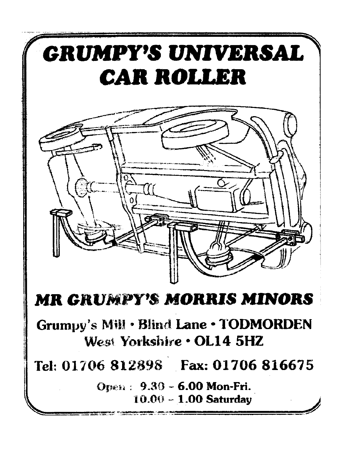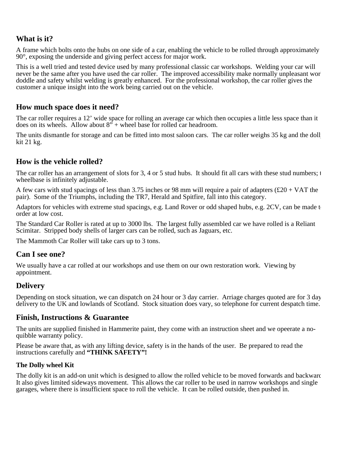### **What is it?**

A frame which bolts onto the hubs on one side of a car, enabling the vehicle to be rolled through approximately 90°, exposing the underside and giving perfect access for major work.

This is a well tried and tested device used by many professional classic car workshops. Welding your car will never be the same after you have used the car roller. The improved accessibility make normally unpleasant wor doddle and safety whilst welding is greatly enhanced. For the professional workshop, the car roller gives the customer a unique insight into the work being carried out on the vehicle.

#### **How much space does it need?**

The car roller requires a 12' wide space for rolling an average car which then occupies a little less space than it does on its wheels. Allow about  $8''$  + wheel base for rolled car headroom.

The units dismantle for storage and can be fitted into most saloon cars. The car roller weighs 35 kg and the dolly kit 21 kg.

#### **How is the vehicle rolled?**

The car roller has an arrangement of slots for 3, 4 or 5 stud hubs. It should fit all cars with these stud numbers; t wheelbase is infinitely adjustable.

A few cars with stud spacings of less than 3.75 inches or 98 mm will require a pair of adapters  $(\text{\pounds}20 + \text{VAT}$  the pair). Some of the Triumphs, including the TR7, Herald and Spitfire, fall into this category.

Adaptors for vehicles with extreme stud spacings, e.g. Land Rover or odd shaped hubs, e.g. 2CV, can be made to order at low cost.

The Standard Car Roller is rated at up to 3000 lbs. The largest fully assembled car we have rolled is a Reliant Scimitar. Stripped body shells of larger cars can be rolled, such as Jaguars, etc.

The Mammoth Car Roller will take cars up to 3 tons.

#### **Can I see one?**

We usually have a car rolled at our workshops and use them on our own restoration work. Viewing by appointment.

#### **Delivery**

Depending on stock situation, we can dispatch on 24 hour or 3 day carrier. Arriage charges quoted are for 3 day delivery to the UK and lowlands of Scotland. Stock situation does vary, so telephone for current despatch time.

#### **Finish, Instructions & Guarantee**

The units are supplied finished in Hammerite paint, they come with an instruction sheet and we opeerate a noquibble warranty policy.

Please be aware that, as with any lifting device, safety is in the hands of the user. Be prepared to read the instructions carefully and **"THINK SAFETY"!**

#### **The Dolly wheel Kit**

The dolly kit is an add-on unit which is designed to allow the rolled vehicle to be moved forwards and backward It also gives limited sideways movement. This allows the car roller to be used in narrow workshops and single garages, where there is insufficient space to roll the vehicle. It can be rolled outside, then pushed in.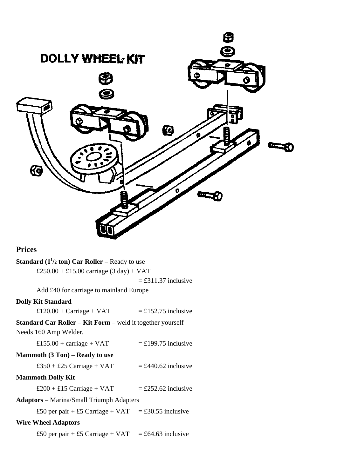

## **Prices**

| <b>Standard</b> ( $1^{1/2}$ ton) Car Roller – Ready to use        |                       |
|-------------------------------------------------------------------|-----------------------|
| £250.00 + £15.00 carriage $(3 day) + VAT$                         |                       |
|                                                                   | $=$ £311.37 inclusive |
| Add £40 for carriage to mainland Europe                           |                       |
| <b>Dolly Kit Standard</b>                                         |                       |
| £120.00 + Carriage + $VAT$                                        | $=$ £152.75 inclusive |
| <b>Standard Car Roller – Kit Form – weld it together yourself</b> |                       |
| Needs 160 Amp Welder.                                             |                       |
| £155.00 + carriage + $VAT$                                        | $=$ £199.75 inclusive |
| <b>Mammoth <math>(3 Ton)</math> – Ready to use</b>                |                       |
| £350 + £25 Carriage + VAT                                         | $=$ £440.62 inclusive |
| <b>Mammoth Dolly Kit</b>                                          |                       |
| £200 + £15 Carriage + VAT                                         | $=$ £252.62 inclusive |
| <b>Adaptors</b> – Marina/Small Triumph Adapters                   |                       |
| £50 per pair + £5 Carriage + VAT = £30.55 inclusive               |                       |
| <b>Wire Wheel Adaptors</b>                                        |                       |
| £50 per pair + £5 Carriage + VAT                                  | $=$ £64.63 inclusive  |
|                                                                   |                       |